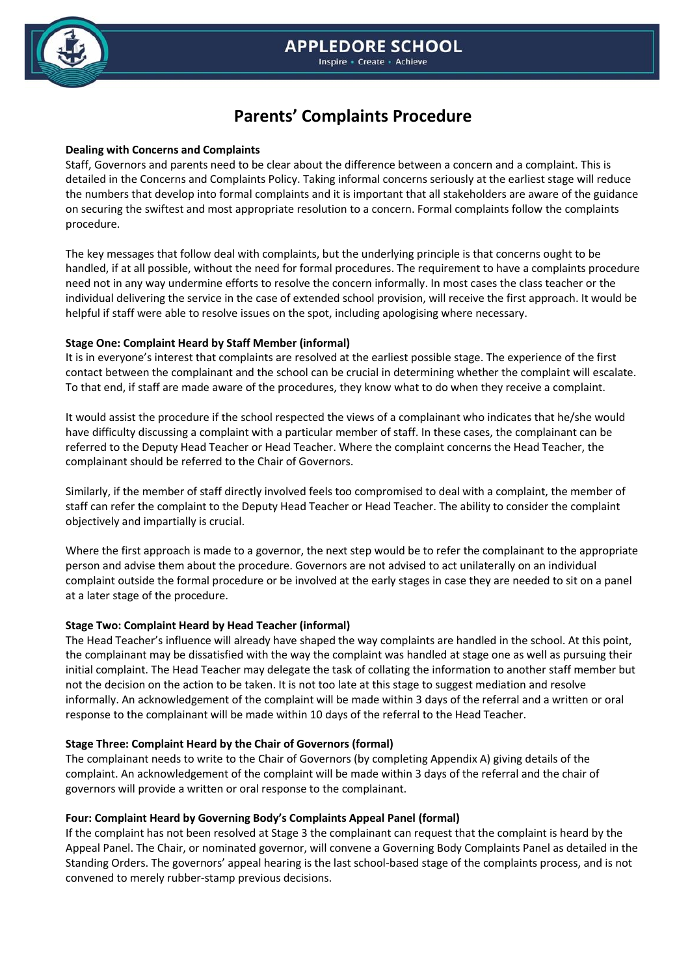

#### **Inspire - Create - Achieve**

# **Parents' Complaints Procedure**

### **Dealing with Concerns and Complaints**

Staff, Governors and parents need to be clear about the difference between a concern and a complaint. This is detailed in the Concerns and Complaints Policy. Taking informal concerns seriously at the earliest stage will reduce the numbers that develop into formal complaints and it is important that all stakeholders are aware of the guidance on securing the swiftest and most appropriate resolution to a concern. Formal complaints follow the complaints procedure.

The key messages that follow deal with complaints, but the underlying principle is that concerns ought to be handled, if at all possible, without the need for formal procedures. The requirement to have a complaints procedure need not in any way undermine efforts to resolve the concern informally. In most cases the class teacher or the individual delivering the service in the case of extended school provision, will receive the first approach. It would be helpful if staff were able to resolve issues on the spot, including apologising where necessary.

# **Stage One: Complaint Heard by Staff Member (informal)**

It is in everyone's interest that complaints are resolved at the earliest possible stage. The experience of the first contact between the complainant and the school can be crucial in determining whether the complaint will escalate. To that end, if staff are made aware of the procedures, they know what to do when they receive a complaint.

It would assist the procedure if the school respected the views of a complainant who indicates that he/she would have difficulty discussing a complaint with a particular member of staff. In these cases, the complainant can be referred to the Deputy Head Teacher or Head Teacher. Where the complaint concerns the Head Teacher, the complainant should be referred to the Chair of Governors.

Similarly, if the member of staff directly involved feels too compromised to deal with a complaint, the member of staff can refer the complaint to the Deputy Head Teacher or Head Teacher. The ability to consider the complaint objectively and impartially is crucial.

Where the first approach is made to a governor, the next step would be to refer the complainant to the appropriate person and advise them about the procedure. Governors are not advised to act unilaterally on an individual complaint outside the formal procedure or be involved at the early stages in case they are needed to sit on a panel at a later stage of the procedure.

# **Stage Two: Complaint Heard by Head Teacher (informal)**

The Head Teacher's influence will already have shaped the way complaints are handled in the school. At this point, the complainant may be dissatisfied with the way the complaint was handled at stage one as well as pursuing their initial complaint. The Head Teacher may delegate the task of collating the information to another staff member but not the decision on the action to be taken. It is not too late at this stage to suggest mediation and resolve informally. An acknowledgement of the complaint will be made within 3 days of the referral and a written or oral response to the complainant will be made within 10 days of the referral to the Head Teacher.

# **Stage Three: Complaint Heard by the Chair of Governors (formal)**

The complainant needs to write to the Chair of Governors (by completing Appendix A) giving details of the complaint. An acknowledgement of the complaint will be made within 3 days of the referral and the chair of governors will provide a written or oral response to the complainant.

# **Four: Complaint Heard by Governing Body's Complaints Appeal Panel (formal)**

If the complaint has not been resolved at Stage 3 the complainant can request that the complaint is heard by the Appeal Panel. The Chair, or nominated governor, will convene a Governing Body Complaints Panel as detailed in the Standing Orders. The governors' appeal hearing is the last school-based stage of the complaints process, and is not convened to merely rubber-stamp previous decisions.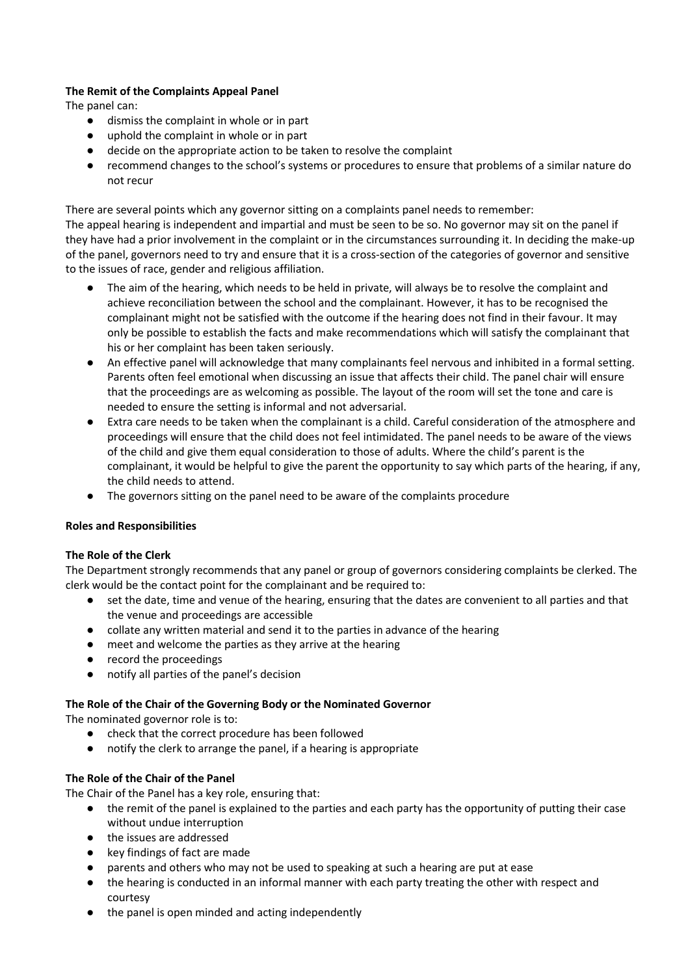# **The Remit of the Complaints Appeal Panel**

The panel can:

- dismiss the complaint in whole or in part
- uphold the complaint in whole or in part
- decide on the appropriate action to be taken to resolve the complaint
- recommend changes to the school's systems or procedures to ensure that problems of a similar nature do not recur

There are several points which any governor sitting on a complaints panel needs to remember: The appeal hearing is independent and impartial and must be seen to be so. No governor may sit on the panel if they have had a prior involvement in the complaint or in the circumstances surrounding it. In deciding the make-up of the panel, governors need to try and ensure that it is a cross-section of the categories of governor and sensitive to the issues of race, gender and religious affiliation.

- The aim of the hearing, which needs to be held in private, will always be to resolve the complaint and achieve reconciliation between the school and the complainant. However, it has to be recognised the complainant might not be satisfied with the outcome if the hearing does not find in their favour. It may only be possible to establish the facts and make recommendations which will satisfy the complainant that his or her complaint has been taken seriously.
- An effective panel will acknowledge that many complainants feel nervous and inhibited in a formal setting. Parents often feel emotional when discussing an issue that affects their child. The panel chair will ensure that the proceedings are as welcoming as possible. The layout of the room will set the tone and care is needed to ensure the setting is informal and not adversarial.
- Extra care needs to be taken when the complainant is a child. Careful consideration of the atmosphere and proceedings will ensure that the child does not feel intimidated. The panel needs to be aware of the views of the child and give them equal consideration to those of adults. Where the child's parent is the complainant, it would be helpful to give the parent the opportunity to say which parts of the hearing, if any, the child needs to attend.
- The governors sitting on the panel need to be aware of the complaints procedure

# **Roles and Responsibilities**

# **The Role of the Clerk**

The Department strongly recommends that any panel or group of governors considering complaints be clerked. The clerk would be the contact point for the complainant and be required to:

- set the date, time and venue of the hearing, ensuring that the dates are convenient to all parties and that the venue and proceedings are accessible
- collate any written material and send it to the parties in advance of the hearing
- meet and welcome the parties as they arrive at the hearing
- record the proceedings
- notify all parties of the panel's decision

# **The Role of the Chair of the Governing Body or the Nominated Governor**

The nominated governor role is to:

- check that the correct procedure has been followed
- notify the clerk to arrange the panel, if a hearing is appropriate

# **The Role of the Chair of the Panel**

The Chair of the Panel has a key role, ensuring that:

- the remit of the panel is explained to the parties and each party has the opportunity of putting their case without undue interruption
- the issues are addressed
- key findings of fact are made
- parents and others who may not be used to speaking at such a hearing are put at ease
- the hearing is conducted in an informal manner with each party treating the other with respect and courtesy
- the panel is open minded and acting independently